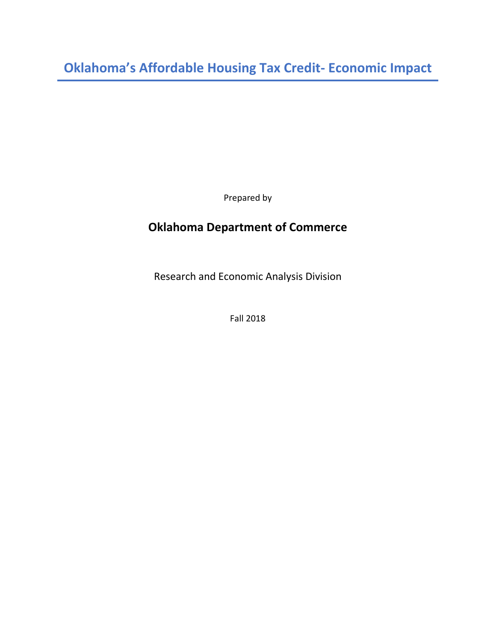**Oklahoma's Affordable Housing Tax Credit- Economic Impact**

Prepared by

# **Oklahoma Department of Commerce**

Research and Economic Analysis Division

Fall 2018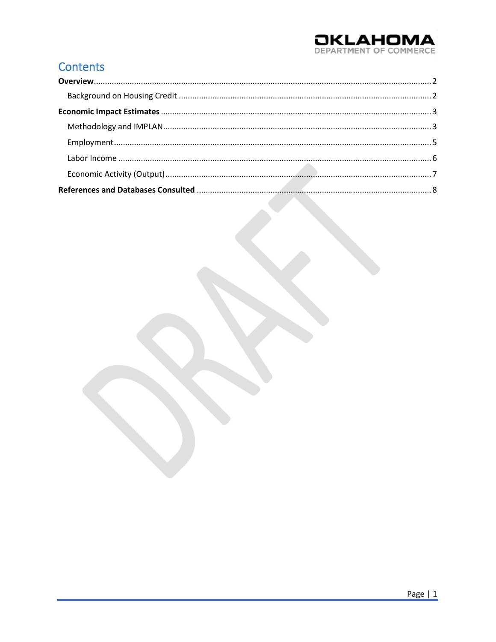# **OKLAHOMA**

# Contents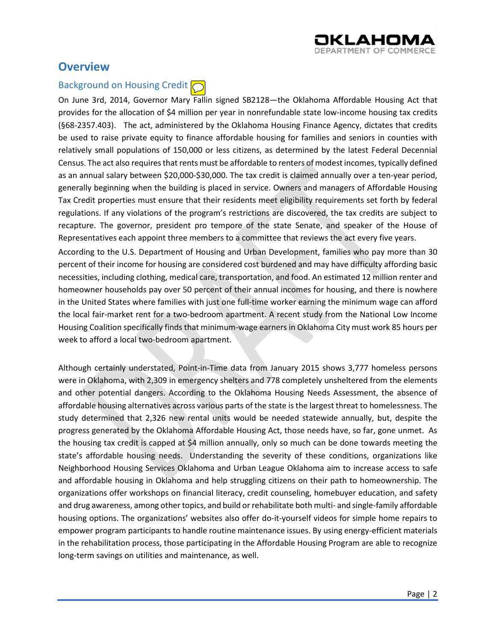

## <span id="page-2-0"></span>**Overview**

## <span id="page-2-1"></span>Background on Housing Credit  $\bigcirc$

On June 3rd, 2014, Governor Mary Fallin signed SB2128—the Oklahoma Affordable Housing Act that provides for the allocation of \$4 million per year in nonrefundable state low-income housing tax credits (§68-2357.403). The act, administered by the Oklahoma Housing Finance Agency, dictates that credits be used to raise private equity to finance affordable housing for families and seniors in counties with relatively small populations of 150,000 or less citizens, as determined by the latest Federal Decennial Census. The act also requires that rents must be affordable to renters of modest incomes, typically defined as an annual salary between \$20,000-\$30,000. The tax credit is claimed annually over a ten-year period, generally beginning when the building is placed in service. Owners and managers of Affordable Housing Tax Credit properties must ensure that their residents meet eligibility requirements set forth by federal regulations. If any violations of the program's restrictions are discovered, the tax credits are subject to recapture. The governor, president pro tempore of the state Senate, and speaker of the House of Representatives each appoint three members to a committee that reviews the act every five years.

According to the U.S. Department of Housing and Urban Development, families who pay more than 30 percent of their income for housing are considered cost burdened and may have difficulty affording basic necessities, including clothing, medical care, transportation, and food. An estimated 12 million renter and homeowner households pay over 50 percent of their annual incomes for housing, and there is nowhere in the United States where families with just one full-time worker earning the minimum wage can afford the local fair-market rent for a two-bedroom apartment. A recent study from the National Low Income Housing Coalition specifically finds that minimum-wage earners in Oklahoma City must work 85 hours per week to afford a local two-bedroom apartment.

Although certainly understated, Point-in-Time data from January 2015 shows 3,777 homeless persons were in Oklahoma, with 2,309 in emergency shelters and 778 completely unsheltered from the elements and other potential dangers. According to the Oklahoma Housing Needs Assessment, the absence of affordable housing alternatives across various parts of the state is the largest threat to homelessness. The study determined that 2,326 new rental units would be needed statewide annually, but, despite the progress generated by the Oklahoma Affordable Housing Act, those needs have, so far, gone unmet. As the housing tax credit is capped at \$4 million annually, only so much can be done towards meeting the state's affordable housing needs. Understanding the severity of these conditions, organizations like Neighborhood Housing Services Oklahoma and Urban League Oklahoma aim to increase access to safe and affordable housing in Oklahoma and help struggling citizens on their path to homeownership. The organizations offer workshops on financial literacy, credit counseling, homebuyer education, and safety and drug awareness, among other topics, and build or rehabilitate both multi- and single-family affordable housing options. The organizations' websites also offer do-it-yourself videos for simple home repairs to empower program participants to handle routine maintenance issues. By using energy-efficient materials in the rehabilitation process, those participating in the Affordable Housing Program are able to recognize long-term savings on utilities and maintenance, as well.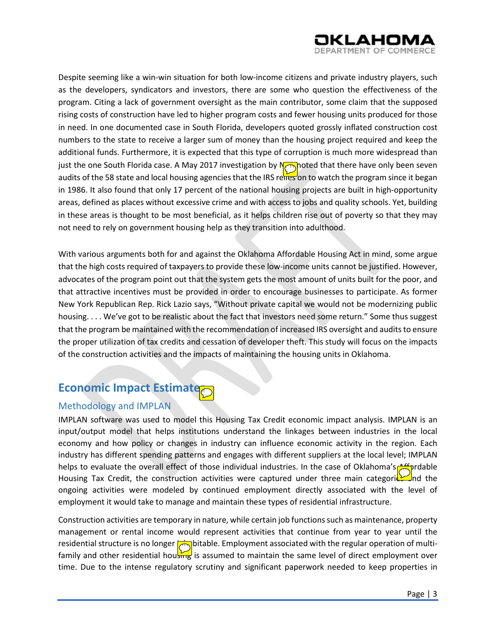

Despite seeming like a win-win situation for both low-income citizens and private industry players, such as the developers, syndicators and investors, there are some who question the effectiveness of the program. Citing a lack of government oversight as the main contributor, some claim that the supposed rising costs of construction have led to higher program costs and fewer housing units produced for those in need. In one documented case in South Florida, developers quoted grossly inflated construction cost numbers to the state to receive a larger sum of money than the housing project required and keep the additional funds. Furthermore, it is expected that this type of corruption is much more widespread than just the one South Florida case. A May 2017 investigation by **M**oted that there have only been seven audits of the 58 state and local housing agencies that the IRS relies on to watch the program since it began in 1986. It also found that only 17 percent of the national housing projects are built in high-opportunity areas, defined as places without excessive crime and with access to jobs and quality schools. Yet, building in these areas is thought to be most beneficial, as it helps children rise out of poverty so that they may not need to rely on government housing help as they transition into adulthood.

With various arguments both for and against the Oklahoma Affordable Housing Act in mind, some argue that the high costs required of taxpayers to provide these low-income units cannot be justified. However, advocates of the program point out that the system gets the most amount of units built for the poor, and that attractive incentives must be provided in order to encourage businesses to participate. As former New York Republican Rep. Rick Lazio says, "Without private capital we would not be modernizing public housing. . . . We've got to be realistic about the fact that investors need some return." Some thus suggest that the program be maintained with the recommendation of increased IRS oversight and audits to ensure the proper utilization of tax credits and cessation of developer theft. This study will focus on the impacts of the construction activities and the impacts of maintaining the housing units in Oklahoma.

## <span id="page-3-0"></span>**Economic Impact Estimate**

#### <span id="page-3-1"></span>Methodology and IMPLAN

IMPLAN software was used to model this Housing Tax Credit economic impact analysis. IMPLAN is an input/output model that helps institutions understand the linkages between industries in the local economy and how policy or changes in industry can influence economic activity in the region. Each industry has different spending patterns and engages with different suppliers at the local level; IMPLAN helps to evaluate the overall effect of those individual industries. In the case of Oklahoma's Affordable Housing Tax Credit, the construction activities were captured under three main categoricy and the ongoing activities were modeled by continued employment directly associated with the level of employment it would take to manage and maintain these types of residential infrastructure.

Construction activities are temporary in nature, while certain job functions such as maintenance, property management or rental income would represent activities that continue from year to year until the residential structure is no longer  $\bigcirc$  bitable. Employment associated with the regular operation of multifamily and other residential housing is assumed to maintain the same level of direct employment over time. Due to the intense regulatory scrutiny and significant paperwork needed to keep properties in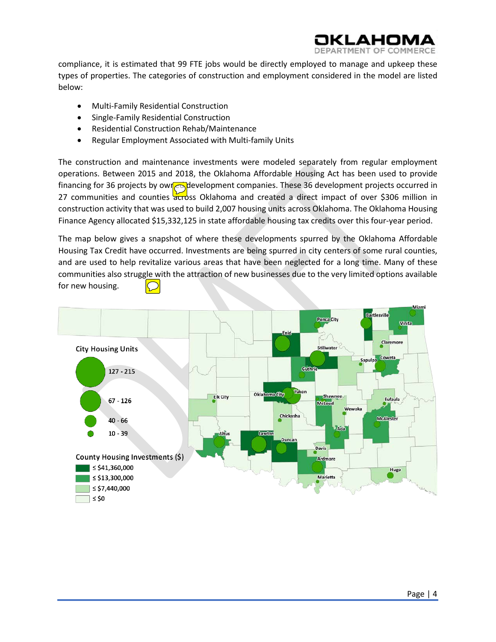compliance, it is estimated that 99 FTE jobs would be directly employed to manage and upkeep these

АНОІ

types of properties. The categories of construction and employment considered in the model are listed below:

- Multi-Family Residential Construction
- Single-Family Residential Construction
- Residential Construction Rehab/Maintenance
- Regular Employment Associated with Multi-family Units

The construction and maintenance investments were modeled separately from regular employment operations. Between 2015 and 2018, the Oklahoma Affordable Housing Act has been used to provide financing for 36 projects by owned development companies. These 36 development projects occurred in 27 communities and counties across Oklahoma and created a direct impact of over \$306 million in construction activity that was used to build 2,007 housing units across Oklahoma. The Oklahoma Housing Finance Agency allocated \$15,332,125 in state affordable housing tax credits over this four-year period.

The map below gives a snapshot of where these developments spurred by the Oklahoma Affordable Housing Tax Credit have occurred. Investments are being spurred in city centers of some rural counties, and are used to help revitalize various areas that have been neglected for a long time. Many of these communities also struggle with the attraction of new businesses due to the very limited options available for new housing.

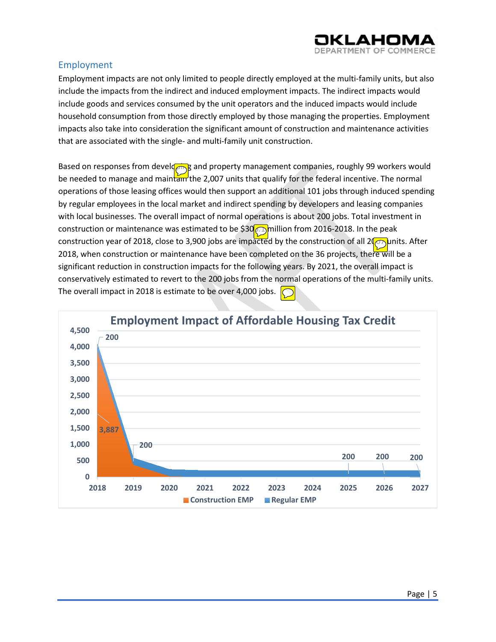

#### <span id="page-5-0"></span>Employment

Employment impacts are not only limited to people directly employed at the multi-family units, but also include the impacts from the indirect and induced employment impacts. The indirect impacts would include goods and services consumed by the unit operators and the induced impacts would include household consumption from those directly employed by those managing the properties. Employment impacts also take into consideration the significant amount of construction and maintenance activities that are associated with the single- and multi-family unit construction.

Based on responses from developing and property management companies, roughly 99 workers would be needed to manage and maintain the 2,007 units that qualify for the federal incentive. The normal operations of those leasing offices would then support an additional 101 jobs through induced spending by regular employees in the local market and indirect spending by developers and leasing companies with local businesses. The overall impact of normal operations is about 200 jobs. Total investment in construction or maintenance was estimated to be \$30<sub>0</sub>. million from 2016-2018. In the peak construction year of 2018, close to 3,900 jobs are impacted by the construction of all 2 $\binom{1}{1}$  units. After 2018, when construction or maintenance have been completed on the 36 projects, there will be a significant reduction in construction impacts for the following years. By 2021, the overall impact is conservatively estimated to revert to the 200 jobs from the normal operations of the multi-family units. The overall impact in 2018 is estimate to be over 4,000 jobs.

<span id="page-5-1"></span>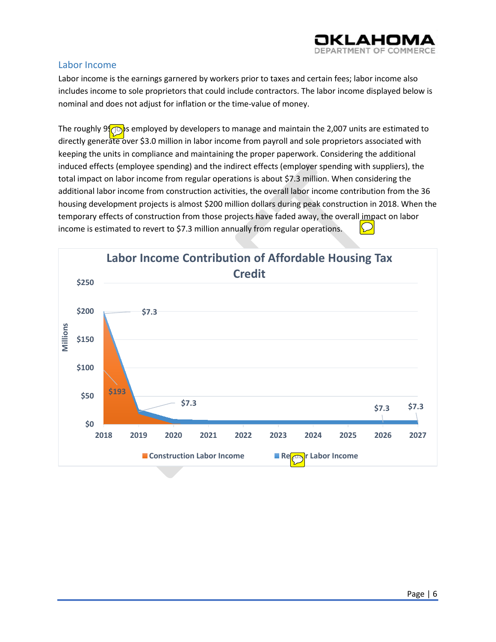

#### Labor Income

Labor income is the earnings garnered by workers prior to taxes and certain fees; labor income also includes income to sole proprietors that could include contractors. The labor income displayed below is nominal and does not adjust for inflation or the time-value of money.

The roughly 9 $\circ$  is employed by developers to manage and maintain the 2,007 units are estimated to directly generate over \$3.0 million in labor income from payroll and sole proprietors associated with keeping the units in compliance and maintaining the proper paperwork. Considering the additional induced effects (employee spending) and the indirect effects (employer spending with suppliers), the total impact on labor income from regular operations is about \$7.3 million. When considering the additional labor income from construction activities, the overall labor income contribution from the 36 housing development projects is almost \$200 million dollars during peak construction in 2018. When the temporary effects of construction from those projects have faded away, the overall impact on labor income is estimated to revert to \$7.3 million annually from regular operations.

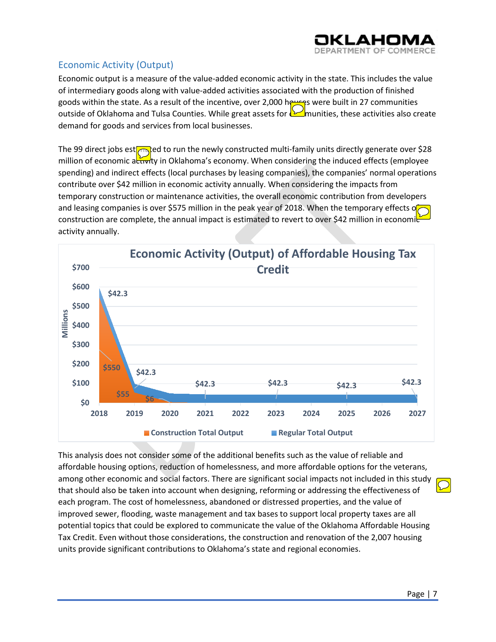

### <span id="page-7-0"></span>Economic Activity (Output)

Economic output is a measure of the value-added economic activity in the state. This includes the value of intermediary goods along with value-added activities associated with the production of finished goods within the state. As a result of the incentive, over 2,000 houses were built in 27 communities outside of Oklahoma and Tulsa Counties. While great assets for **communities**, these activities also create demand for goods and services from local businesses.

The 99 direct jobs est $\sqrt{m}$ ed to run the newly constructed multi-family units directly generate over \$28 million of economic activity in Oklahoma's economy. When considering the induced effects (employee spending) and indirect effects (local purchases by leasing companies), the companies' normal operations contribute over \$42 million in economic activity annually. When considering the impacts from temporary construction or maintenance activities, the overall economic contribution from developers and leasing companies is over \$575 million in the peak year of 2018. When the temporary effects of construction are complete, the annual impact is estimated to revert to over \$42 million in economic activity annually.



This analysis does not consider some of the additional benefits such as the value of reliable and affordable housing options, reduction of homelessness, and more affordable options for the veterans, among other economic and social factors. There are significant social impacts not included in this study that should also be taken into account when designing, reforming or addressing the effectiveness of each program. The cost of homelessness, abandoned or distressed properties, and the value of improved sewer, flooding, waste management and tax bases to support local property taxes are all potential topics that could be explored to communicate the value of the Oklahoma Affordable Housing Tax Credit. Even without those considerations, the construction and renovation of the 2,007 housing units provide significant contributions to Oklahoma's state and regional economies.